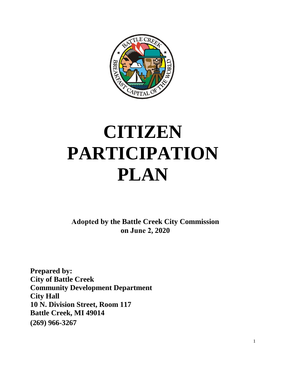

# **CITIZEN PARTICIPATION PLAN**

**Adopted by the Battle Creek City Commission on June 2, 2020**

**Prepared by: City of Battle Creek Community Development Department City Hall 10 N. Division Street, Room 117 Battle Creek, MI 49014 (269) 966-3267**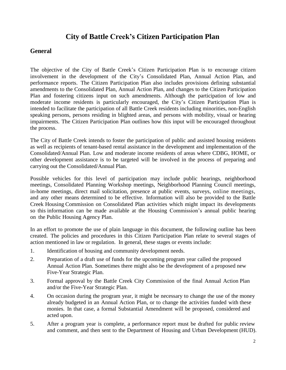# **City of Battle Creek's Citizen Participation Plan**

## **General**

The objective of the City of Battle Creek's Citizen Participation Plan is to encourage citizen involvement in the development of the City's Consolidated Plan, Annual Action Plan, and performance reports. The Citizen Participation Plan also includes provisions defining substantial amendments to the Consolidated Plan, Annual Action Plan, and changes to the Citizen Participation Plan and fostering citizens input on such amendments. Although the participation of low and moderate income residents is particularly encouraged, the City's Citizen Participation Plan is intended to facilitate the participation of all Battle Creek residents including minorities, non-English speaking persons, persons residing in blighted areas, and persons with mobility, visual or hearing impairments. The Citizen Participation Plan outlines how this input will be encouraged throughout the process.

The City of Battle Creek intends to foster the participation of public and assisted housing residents as well as recipients of tenant-based rental assistance in the development and implementation of the Consolidated/Annual Plan. Low and moderate income residents of areas where CDBG, HOME, or other development assistance is to be targeted will be involved in the process of preparing and carrying out the Consolidated/Annual Plan.

Possible vehicles for this level of participation may include public hearings, neighborhood meetings, Consolidated Planning Workshop meetings, Neighborhood Planning Council meetings, in-home meetings, direct mail solicitation, presence at public events, surveys, online meetings, and any other means determined to be effective. Information will also be provided to the Battle Creek Housing Commission on Consolidated Plan activities which might impact its developments so this information can be made available at the Housing Commission's annual public hearing on the Public Housing Agency Plan.

In an effort to promote the use of plain language in this document, the following outline has been created. The policies and procedures in this Citizen Participation Plan relate to several stages of action mentioned in law or regulation. In general, these stages or events include:

- 1. Identification of housing and community development needs.
- 2. Preparation of a draft use of funds for the upcoming program year called the proposed Annual Action Plan. Sometimes there might also be the development of a proposed new Five-Year Strategic Plan.
- 3. Formal approval by the Battle Creek City Commission of the final Annual Action Plan and/or the Five-Year Strategic Plan.
- 4. On occasion during the program year, it might be necessary to change the use of the money already budgeted in an Annual Action Plan, or to change the activities funded with these monies. In that case, a formal Substantial Amendment will be proposed, considered and acted upon.
- 5. After a program year is complete, a performance report must be drafted for public review and comment, and then sent to the Department of Housing and Urban Development (HUD).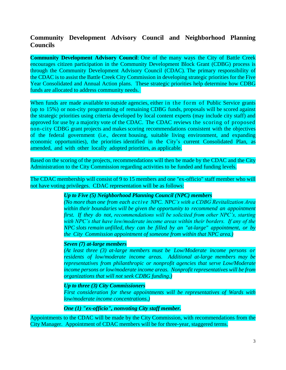# **Community Development Advisory Council and Neighborhood Planning Councils**

**Community Development Advisory Council**: One of the many ways the City of Battle Creek encourages citizen participation in the Community Development Block Grant (CDBG) process is through the Community Development Advisory Council (CDAC). The primary responsibility of the CDAC is to assist the Battle Creek City Commission in developing strategic priorities for the Five Year Consolidated and Annual Action plans. These strategic priorities help determine how CDBG funds are allocated to address community needs.

When funds are made available to outside agencies, either in the form of Public Service grants (up to 15%) or non-city programming of remaining CDBG funds, proposals will be scored against the strategic priorities using criteria developed by local content experts (may include city staff) and approved for use by a majority vote of the CDAC. The CDAC reviews the scoring of proposed non-city CDBG grant projects and makes scoring recommendations consistent with the objectives of the federal government (i.e., decent housing, suitable living environment, and expanding economic opportunities), the priorities identified in the City's current Consolidated Plan, as amended, and with other locally adopted priorities, as applicable.

Based on the scoring of the projects, recommendations will then be made by the CDAC and the City Administration to the City Commission regarding activities to be funded and funding levels.

The CDAC membership will consist of 9 to 15 members and one "ex-officio" staff member who will not have voting privileges. CDAC representation will be as follows:

#### *Up to Five (5) Neighborhood Planning Council (NPC) members*

*(No more than one from each active NPC. NPC's with a CDBG Revitalization Area within their boundaries will be given the opportunity to recommend an appointment first. If they do not, recommendations will be solicited from other NPC's, starting with NPC's that have low/moderate income areas within their borders. If any of the NPC slots remain unfilled, they can be filled by an "at-large" appointment, or by the City Commission appointment of someone from within that NPC area.)*

#### *Seven (7) at-large members*

*(At least three (3) at-large members must be Low/Moderate income persons or residents of low/moderate income areas. Additional at-large members may be representatives from philanthropic or nonprofit agencies that serve Low/Moderate income persons or low/moderate income areas. Nonprofit representatives will be from organizations that will not seek CDBG funding.)*

*Up to three (3) City Commissioners*

*First consideration for these appointments will be representatives of Wards with low/moderate income concentrations.)*

*One (1) "ex-officio", nonvoting City staff member.*

Appointments to the CDAC will be made by the City Commission, with recommendations from the City Manager. Appointment of CDAC members will be for three-year, staggered terms.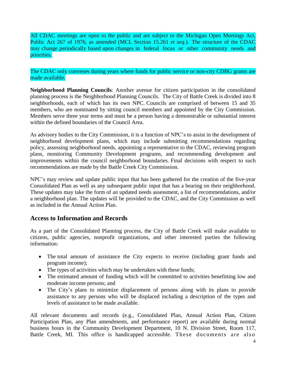All CDAC meetings are open to the public and are subject to the Michigan Open Meetings Act, Public Act 267 of 1976, as amended (MCL Section 15.261 *et seq.*). The structure of the CDAC may change periodically based upon changes in federal focus or other community needs and priorities.

The CDAC only convenes during years where funds for public service or non-city CDBG grants are made available.

**Neighborhood Planning Councils**: Another avenue for citizen participation in the consolidated planning process is the Neighborhood Planning Councils. The City of Battle Creek is divided into 8 neighborhoods, each of which has its own NPC. Councils are comprised of between 15 and 35 members, who are nominated by sitting council members and appointed by the City Commission. Members serve three year terms and must be a person having a demonstrable or substantial interest within the defined boundaries of the Council Area.

As advisory bodies to the City Commission, it is a function of NPC's to assist in the development of neighborhood development plans, which may include submitting recommendations regarding policy, assessing neighborhood needs, appointing a representative to the CDAC, reviewing program plans, monitoring Community Development programs, and recommending development and improvements within the council neighborhood boundaries. Final decisions with respect to such recommendations are made by the Battle Creek City Commission.

NPC's may review and update public input that has been gathered for the creation of the five-year Consolidated Plan as well as any subsequent public input that has a bearing on their neighborhood. These updates may take the form of an updated needs assessment, a list of recommendations, and/or a neighborhood plan. The updates will be provided to the CDAC, and the City Commission as well as included in the Annual Action Plan.

#### **Access to Information and Records**

As a part of the Consolidated Planning process, the City of Battle Creek will make available to citizens, public agencies, nonprofit organizations, and other interested parties the following information:

- The total amount of assistance the City expects to receive (including grant funds and program income);
- The types of activities which may be undertaken with these funds;
- The estimated amount of funding which will be committed to activities benefitting low and moderate income persons; and
- The City's plans to minimize displacement of persons along with its plans to provide assistance to any persons who will be displaced including a description of the types and levels of assistance to be made available.

All relevant documents and records (e.g., Consolidated Plan, Annual Action Plan, Citizen Participation Plan, any Plan amendments, and performance report) are available during normal business hours in the Community Development Department, 10 N. Division Street, Room 117, Battle Creek, MI. This office is handicapped accessible. These documents are also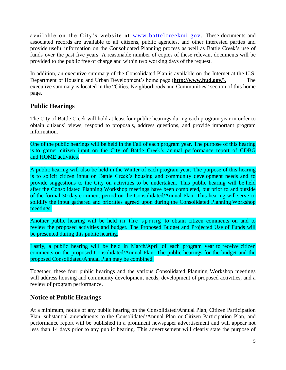available on the City's website at www.battelcreekmi.gov. These documents and associated records are available to all citizens, public agencies, and other interested parties and provide useful information on the Consolidated Planning process as well as Battle Creek's use of funds over the past five years. A reasonable number of copies of these relevant documents will be provided to the public free of charge and within two working days of the request.

In addition, an executive summary of the Consolidated Plan is available on the Internet at the U.S. Department of Housing and Urban Development's home page (**[http://www.hud.gov/\).](http://www.hud.gov/))** The executive summary is located in the "Cities, Neighborhoods and Communities" section of this home page.

# **Public Hearings**

The City of Battle Creek will hold at least four public hearings during each program year in order to obtain citizens' views, respond to proposals, address questions, and provide important program information.

One of the public hearings will be held in the Fall of each program year. The purpose of this hearing is to garner citizen input on the City of Battle Creek's annual performance report of CDBG and HOME activities.

A public hearing will also be held in the Winter of each program year. The purpose of this hearing is to solicit citizen input on Battle Creek's housing and community development needs and to provide suggestions to the City on activities to be undertaken. This public hearing will be held after the Consolidated Planning Workshop meetings have been completed, but prior to and outside of the formal 30 day comment period on the Consolidated/Annual Plan. This hearing will serve to solidify the input gathered and priorities agreed upon during the Consolidated Planning Workshop meetings.

Another public hearing will be held in the spring to obtain citizen comments on and to review the proposed activities and budget. The Proposed Budget and Projected Use of Funds will be presented during this public hearing.

Lastly, a public hearing will be held in March/April of each program year to receive citizen comments on the proposed Consolidated/Annual Plan. The public hearings for the budget and the proposed Consolidated/Annual Plan may be combined.

Together, these four public hearings and the various Consolidated Planning Workshop meetings will address housing and community development needs, development of proposed activities, and a review of program performance.

# **Notice of Public Hearings**

At a minimum, notice of any public hearing on the Consolidated/Annual Plan, Citizen Participation Plan, substantial amendments to the Consolidated/Annual Plan or Citizen Participation Plan, and performance report will be published in a prominent newspaper advertisement and will appear not less than 14 days prior to any public hearing. This advertisement will clearly state the purpose of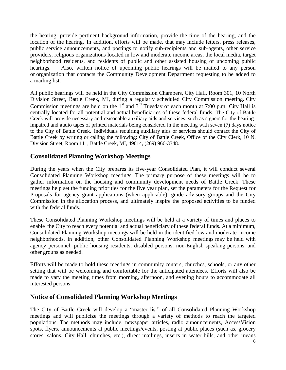the hearing, provide pertinent background information, provide the time of the hearing, and the location of the hearing. In addition, efforts will be made, that may include letters, press releases, public service announcements, and postings to notify sub-recipients and sub-agents, other service providers, religious organizations located in low and moderate income areas, the local media, target neighborhood residents, and residents of public and other assisted housing of upcoming public hearings. Also, written notice of upcoming public hearings will be mailed to any person or organization that contacts the Community Development Department requesting to be added to a mailing list.

All public hearings will be held in the City Commission Chambers, City Hall, Room 301, 10 North Division Street, Battle Creek, MI, during a regularly scheduled City Commission meeting. City Commission meetings are held on the  $1<sup>st</sup>$  and  $3<sup>rd</sup>$  Tuesday of each month at 7:00 p.m. City Hall is centrally located for all potential and actual beneficiaries of these federal funds. The City of Battle Creek will provide necessary and reasonable auxiliary aids and services, such as signers for the hearing impaired and audio tapes of printed materials being considered in the meeting with seven (7) days notice to the City of Battle Creek. Individuals requiring auxiliary aids or services should contact the City of Battle Creek by writing or calling the following: City of Battle Creek, Office of the City Clerk, 10 N. Division Street, Room 111, Battle Creek, MI, 49014, (269) 966-3348.

# **Consolidated Planning Workshop Meetings**

During the years when the City prepares its five-year Consolidated Plan, it will conduct several Consolidated Planning Workshop meetings. The primary purpose of these meetings will be to gather information on the housing and community development needs of Battle Creek. These meetings help set the funding priorities for the five year plan, set the parameters for the Request for Proposals for agency grant applications (when applicable), guide advisory groups and the City Commission in the allocation process, and ultimately inspire the proposed activities to be funded with the federal funds.

These Consolidated Planning Workshop meetings will be held at a variety of times and places to enable the City to reach every potential and actual beneficiary of these federal funds. At a minimum, Consolidated Planning Workshop meetings will be held in the identified low and moderate income neighborhoods. In addition, other Consolidated Planning Workshop meetings may be held with agency personnel, public housing residents, disabled persons, non-English speaking persons, and other groups as needed.

Efforts will be made to hold these meetings in community centers, churches, schools, or any other setting that will be welcoming and comfortable for the anticipated attendees. Efforts will also be made to vary the meeting times from morning, afternoon, and evening hours to accommodate all interested persons.

#### **Notice of Consolidated Planning Workshop Meetings**

The City of Battle Creek will develop a "master list" of all Consolidated Planning Workshop meetings and will publicize the meetings through a variety of methods to reach the targeted populations. The methods may include, newspaper articles, radio announcements, AccessVision spots, flyers, announcements at public meetings/events, posting at public places (such as, grocery stores, salons, City Hall, churches, etc.), direct mailings, inserts in water bills, and other means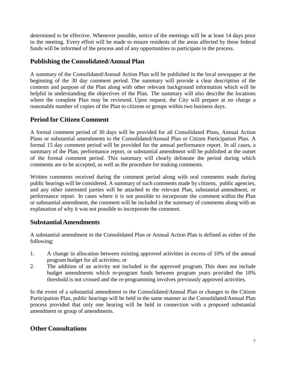determined to be effective. Whenever possible, notice of the meetings will be at least 14 days prior to the meeting. Every effort will be made to ensure residents of the areas affected by these federal funds will be informed of the process and of any opportunities to participate in the process.

# **Publishing the Consolidated/Annual Plan**

A summary of the Consolidated/Annual Action Plan will be published in the local newspaper at the beginning of the 30 day comment period. The summary will provide a clear description of the contents and purpose of the Plan along with other relevant background information which will be helpful in understanding the objectives of the Plan. The summary will also describe the locations where the complete Plan may be reviewed. Upon request, the City will prepare at no charge a reasonable number of copies of the Plan to citizens or groups within two business days.

# **Period for Citizen Comment**

A formal comment period of 30 days will be provided for all Consolidated Plans, Annual Action Plans or substantial amendments to the Consolidated/Annual Plan or Citizen Participation Plan. A formal 15 day comment period will be provided for the annual performance report. In all cases, a summary of the Plan, performance report, or substantial amendment will be published at the outset of the formal comment period. This summary will clearly delineate the period during which comments are to be accepted, as well as the procedure for making comments.

Written comments received during the comment period along with oral comments made during public hearings will be considered. A summary of such comments made by citizens, public agencies, and any other interested parties will be attached to the relevant Plan, substantial amendment, or performance report. In cases where it is not possible to incorporate the comment within the Plan or substantial amendment, the comment will be included in the summary of comments along with an explanation of why it was not possible to incorporate the comment.

# **SubstantialAmendments**

A substantial amendment to the Consolidated Plan or Annual Action Plan is defined as either of the following:

- 1. A change in allocation between existing approved activities in excess of 10% of the annual program budget for all activities; or
- 2. The addition of an activity not included in the approved program. This does not include budget amendments which re-program funds between program years provided the 10% threshold is not crossed and the re-programming involves previously approved activities.

In the event of a substantial amendment to the Consolidated/Annual Plan or changes to the Citizen Participation Plan, public hearings will be held in the same manner as the Consolidated/Annual Plan process provided that only one hearing will be held in connection with a proposed substantial amendment or group of amendments.

# **Other Consultations**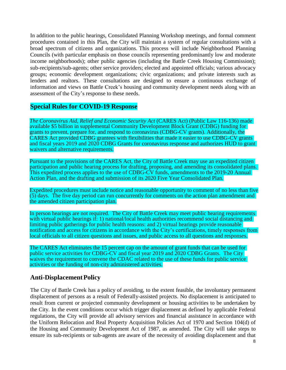In addition to the public hearings, Consolidated Planning Workshop meetings, and formal comment procedures contained in this Plan, the City will maintain a system of regular consultations with a broad spectrum of citizens and organizations. This process will include Neighborhood Planning Councils (with particular emphasis on those councils representing predominantly low and moderate income neighborhoods); other public agencies (including the Battle Creek Housing Commission); sub-recipients/sub-agents; other service providers; elected and appointed officials; various advocacy groups; economic development organizations; civic organizations; and private interests such as lenders and realtors. These consultations are designed to ensure a continuous exchange of information and views on Battle Creek's housing and community development needs along with an assessment of the City's response to these needs.

## **Special Rules for COVID-19 Response**

*The Coronavirus Aid, Relief and Economic Security Act* (CARES Act) (Public Law 116-136) made available \$5 billion in supplemental Community Development Block Grant (CDBG) funding for grants to prevent, prepare for, and respond to coronavirus (CDBG-CV grants). Additionally, the CARES Act provided CDBG grantees with flexibilities that made it easier to use CDBG-CV grants and fiscal years 2019 and 2020 CDBG Grants for coronavirus response and authorizes HUD to grant waivers and alternative requirements.

Pursuant to the provisions of the CARES Act, the City of Battle Creek may use an expedited citizen participation and public hearing process for drafting, proposing, and amending its consolidated plans. This expedited process applies to the use of CDBG-CV funds, amendments to the 2019-20 Annual Action Plan, and the drafting and submission of its 2020 Five Year Consolidated Plan.

Expedited procedures must include notice and reasonable opportunity to comment of no less than five (5) days. The five day period can run concurrently for comments on the action plan amendment and the amended citizen participation plan.

In person hearings are not required. The City of Battle Creek may meet public hearing requirements with virtual public hearings if: 1) national/local health authorities recommend social distancing and limiting public gatherings for public health reasons: and 2) virtual hearings provide reasonable notification and access for citizens in accordance with the City's certifications, timely responses from local officials to all citizen questions and issues, and public access to all questions and responses.

The CARES Act eliminates the 15 percent cap on the amount of grant funds that can be used for public service activities for CDBG-CV and fiscal year 2019 and 2020 CDBG Grants. The City waives the requirement to convene the CDAC related to the use of these funds for public service activities or the funding of non-city administered activities.

#### **Anti-DisplacementPolicy**

The City of Battle Creek has a policy of avoiding, to the extent feasible, the involuntary permanent displacement of persons as a result of Federally-assisted projects. No displacement is anticipated to result from current or projected community development or housing activities to be undertaken by the City. In the event conditions occur which trigger displacement as defined by applicable Federal regulations, the City will provide all advisory services and financial assistance in accordance with the Uniform Relocation and Real Property Acquisition Policies Act of 1970 and Section 104(d) of the Housing and Community Development Act of 1987, as amended. The City will take steps to ensure its sub-recipients or sub-agents are aware of the necessity of avoiding displacement and that